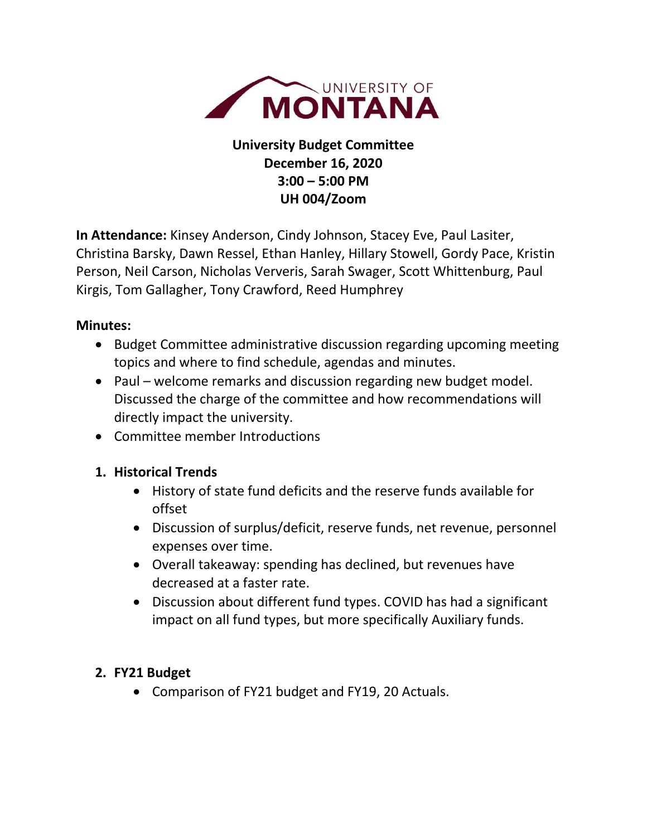

# **University Budget Committee December 16, 2020 3:00 – 5:00 PM UH 004/Zoom**

**In Attendance:** Kinsey Anderson, Cindy Johnson, Stacey Eve, Paul Lasiter, Christina Barsky, Dawn Ressel, Ethan Hanley, Hillary Stowell, Gordy Pace, Kristin Person, Neil Carson, Nicholas Ververis, Sarah Swager, Scott Whittenburg, Paul Kirgis, Tom Gallagher, Tony Crawford, Reed Humphrey

### **Minutes:**

- Budget Committee administrative discussion regarding upcoming meeting topics and where to find schedule, agendas and minutes.
- Paul welcome remarks and discussion regarding new budget model. Discussed the charge of the committee and how recommendations will directly impact the university.
- Committee member Introductions

#### **1. Historical Trends**

- History of state fund deficits and the reserve funds available for offset
- Discussion of surplus/deficit, reserve funds, net revenue, personnel expenses over time.
- Overall takeaway: spending has declined, but revenues have decreased at a faster rate.
- Discussion about different fund types. COVID has had a significant impact on all fund types, but more specifically Auxiliary funds.

## **2. FY21 Budget**

• Comparison of FY21 budget and FY19, 20 Actuals.